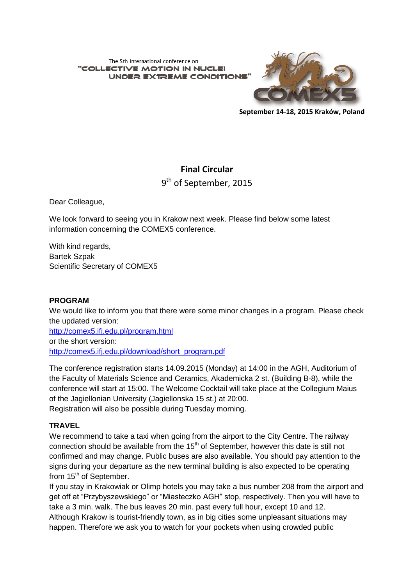The 5th international conference on "COLLECTIVE MOTION IN NUCL **UNDER EXTREME CONDITIONS** 



**September 14-18, 2015 Kraków, Poland**

# **Final Circular**

9<sup>th</sup> of September, 2015

Dear Colleague,

We look forward to seeing you in Krakow next week. Please find below some latest information concerning the COMEX5 conference.

With kind regards, Bartek Szpak Scientific Secretary of COMEX5

# **PROGRAM**

We would like to inform you that there were some minor changes in a program. Please check the updated version:

<http://comex5.ifj.edu.pl/program.html> or the short version: http://comex5.ifi.edu.pl/download/short\_program.pdf

The conference registration starts 14.09.2015 (Monday) at 14:00 in the AGH, Auditorium of the Faculty of Materials Science and Ceramics, Akademicka 2 st. (Building B-8), while the conference will start at 15:00. The Welcome Cocktail will take place at the Collegium Maius of the Jagiellonian University (Jagiellonska 15 st.) at 20:00.

Registration will also be possible during Tuesday morning.

# **TRAVEL**

We recommend to take a taxi when going from the airport to the City Centre. The railway connection should be available from the  $15<sup>th</sup>$  of September, however this date is still not confirmed and may change. Public buses are also available. You should pay attention to the signs during your departure as the new terminal building is also expected to be operating from 15<sup>th</sup> of September.

If you stay in Krakowiak or Olimp hotels you may take a bus number 208 from the airport and get off at "Przybyszewskiego" or "Miasteczko AGH" stop, respectively. Then you will have to take a 3 min. walk. The bus leaves 20 min. past every full hour, except 10 and 12. Although Krakow is tourist-friendly town, as in big cities some unpleasant situations may happen. Therefore we ask you to watch for your pockets when using crowded public